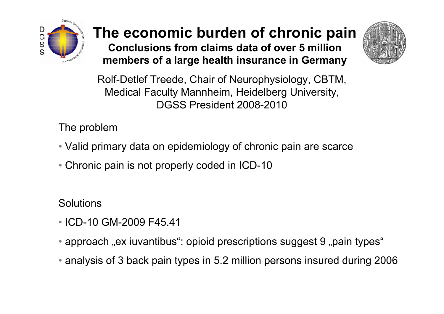

# The economic burden of chronic pain

Conclusions from claims data of over 5 million members of a large health insurance in Germany



Rolf-Detlef Treede, Chair of Neurophysiology, CBTM,Medical Faculty Mannheim, Heidelberg University, DGSS President 2008-2010

The problem

- Valid primary data on epidemiology of chronic pain are scarce
- Chronic pain is not properly coded in ICD-10

**Solutions** 

- ICD-10 GM-2009 F45.41
- $\bullet$  approach "ex iuvantibus": opioid prescriptions suggest 9 "pain types"
- analysis of 3 back pain types in 5.2 million persons insured during <sup>2006</sup>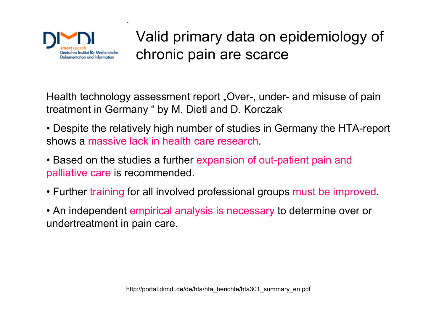

## Valid primary data on epidemiology of chronic pain are scarce

Health technology assessment report "Over-, under- and misuse of pain treatment in Germany " by M. Dietl and D. Korczak

- Despite the relatively high number of studies in Germany the HTA-report<br>shave a reserve leak in health same research shows a massive lack in health care research. •
- Based on the studies a further expansion of out-patient pain and palliative care is recommended.
- Further training for all involved professional groups must be improved.<br>• An independent empirical analysis is necessary to determine over or
- An independent empirical analysis is necessary to determine over or undertreatment in pain care.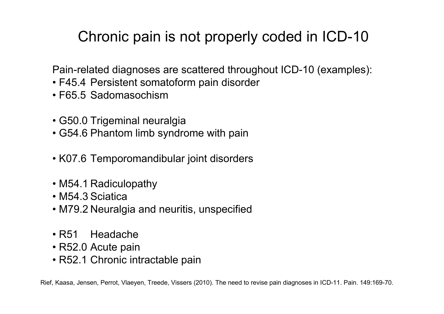## Chronic pain is not properly coded in ICD-10

Pain-related diagnoses are scattered throughout ICD-10 (examples):

- F45.4 Persistent somatoform pain disorder<br>· F65.5 Sedemaseshiem
- F65.5 Sadomasochism
- G50.0 Trigeminal neuralgia
- G54.6 Phantom limb syndrome with pain
- K07.6 Temporomandibular joint disorders
- M54.1 Radiculopathy<br>· M54.3 Saistics
- M54.3 Sciatica
- M79.2 Neuralgia and neuritis, unspecified
- R51 Headache<br>· B53.9 Aauta pair
- R52.0 Acute pain
- R52.1 Chronic intractable pain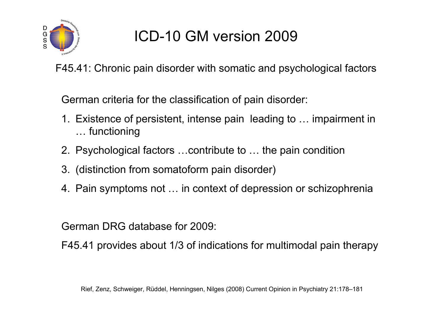

# ICD-10 GM version <sup>2009</sup>

F45.41: Chronic pain disorder with somatic and psychological factors

German criteria for the classification of pain disorder:

- 1. Existence of persistent, intense pain leading to … impairment in … functioning
- 2. Psychological factors …contribute to … the pain condition
- 3. (distinction from somatoform pain disorder)
- 4. Pain symptoms not … in context of depression or schizophrenia

German DRG database for 2009:

F45.41 provides about 1/3 of indications for multimodal pain therapy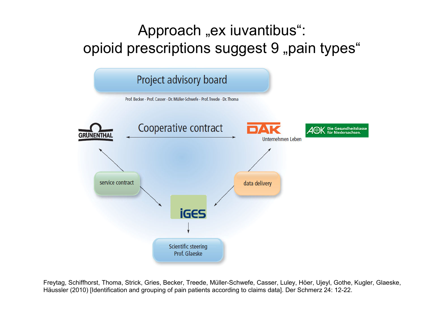## Approach "ex iuvantibus": opioid prescriptions suggest 9 "pain types"



Freytag, Schiffhorst, Thoma, Strick, Gries, Becker, Treede, Müller-Schwefe, Casser, Luley, Höer, Ujeyl, Gothe, Kugler, Glaeske, Häussler (2010) [Identification and grouping of pain patients according to claims data]. Der Schmerz 24: 12-22.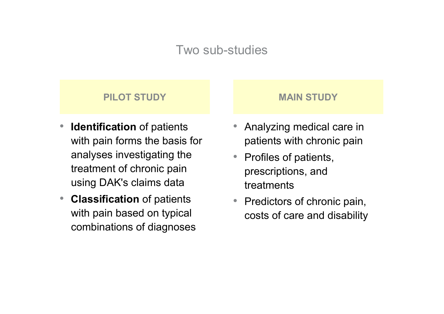#### Two sub-studies

#### PILOT STUDY **MAIN STUDY**

- $\bullet$  $\bullet$  Identification of patients with pain forms the basis for analyses investigating the treatment of chronic pain using DAK's claims data
- **Classification** of patients with pain based on typical combinations of diagnoses

- $\bullet$  Analyzing medical care in patients with chronic pain
- $\bullet$  Profiles of patients, prescriptions, and treatments
- $\bullet$  Predictors of chronic pain, costs of care and disability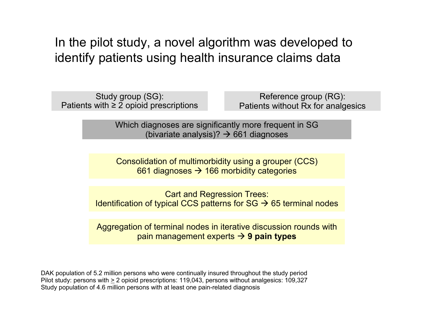In the pilot study, a novel algorithm was developed to identify patients using health insurance claims data

Study group (SG):Patients with ≥ 2 opioid prescriptions

Reference group (RG):Patients without Rx for analgesics

Which diagnoses are significantly more frequent in SG(bivariate analysis)?  $\rightarrow$  661 diagnoses

Consolidation of multimorbidity using a grouper (CCS) 661 diagnoses  $\bm{\rightarrow}$  166 morbidity categories

Cart and Regression Trees:Identification of typical CCS patterns for SG  $\rightarrow$  65 terminal nodes

Aggregation of terminal nodes in iterative discussion rounds with pain management experts  $\bm{\rightarrow}$  9 pain types

DAK population of 5.2 million persons who were continually insured throughout the study period Pilot study: persons with  $\geq 2$  opioid prescriptions: 119,043, persons without analgesics: 109,327<br>Study population of 4.6 million persons with at least ane noin related disanceje Study population of 4.6 million persons with at least one pain-related diagnosis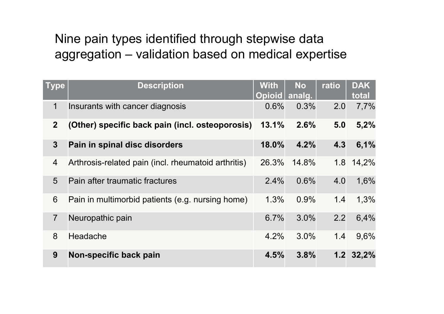# Nine pain types identified through stepwise data aggregation – validation based on medical expertise

| <b>Type</b>    | <b>Description</b>                                  | <b>With</b><br><b>Opioid</b> | <b>No</b><br>analg. | ratio | <b>DAK</b><br>total |
|----------------|-----------------------------------------------------|------------------------------|---------------------|-------|---------------------|
| 1              | Insurants with cancer diagnosis                     | 0.6%                         | 0.3%                | 2.0   | 7,7%                |
| 2 <sup>1</sup> | (Other) specific back pain (incl. osteoporosis)     | 13.1%                        | 2.6%                | 5.0   | 5,2%                |
| $3\phantom{a}$ | Pain in spinal disc disorders                       | 18.0%                        | 4.2%                | 4.3   | 6,1%                |
| $\overline{4}$ | Arthrosis-related pain (incl. rheumatoid arthritis) | 26.3%                        | 14.8%               |       | 1.8 14,2%           |
| 5              | Pain after traumatic fractures                      | 2.4%                         | 0.6%                | 4.0   | 1,6%                |
| 6              | Pain in multimorbid patients (e.g. nursing home)    | 1.3%                         | 0.9%                | 1.4   | 1,3%                |
| $\overline{7}$ | Neuropathic pain                                    | 6.7%                         | 3.0%                | 2.2   | 6,4%                |
| 8              | Headache                                            | 4.2%                         | 3.0%                | 1.4   | 9,6%                |
| 9              | Non-specific back pain                              | 4.5%                         | 3.8%                |       | $1.2 \t32.2\%$      |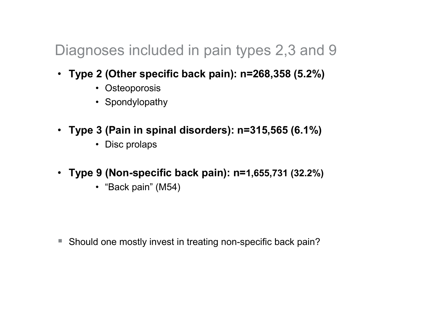## Diagnoses included in pain types 2,3 and 9

- Type 2 (Other specific back pain): n=268,358 (5.2%)
	- Osteoporosis
	- Spondylopathy
- Type 3 (Pain in spinal disorders): n=315,565 (6.1%)
	- Disc prolaps
- Type 9 (Non-specific back pain): n=1,655,731 (32.2%)
	- "Back pain" (M54)

-Should one mostly invest in treating non-specific back pain?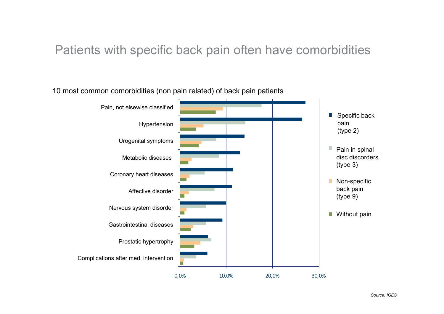### Patients with specific back pain often have comorbidities

#### 10 most common comorbidities (non pain related) of back pain patients

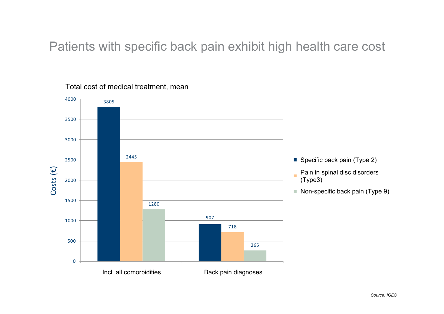Patients with specific back pain exhibit high health care cost



Total cost of medical treatment, mean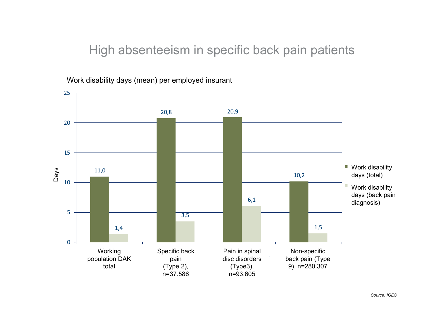#### High absenteeism in specific back pain patients



Work disability days (mean) per employed insurant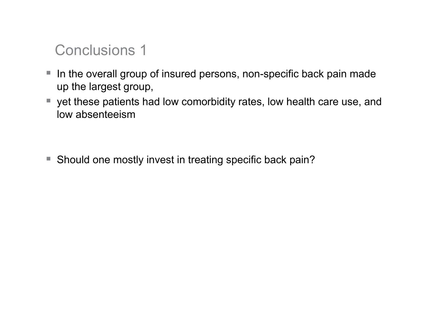## Conclusions 1

- - In the overall group of insured persons, non-specific back pain made up the largest group,
- yet these patients had low comorbidity rates, low health care use, and low observations low absenteeism

-Should one mostly invest in treating specific back pain?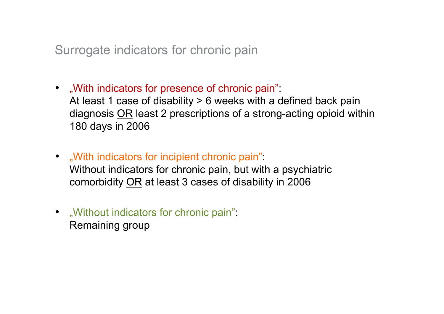Surrogate indicators for chronic pain

- "With indicators for presence of chronic pain": At least 1 case of disability > 6 weeks with a defined back paindiagnosis <u>OR</u> least 2 prescriptions of a strong-acting opioid within<br>489 dave in 2006 180 days in 2006
- "With indicators for incipient chronic pain": Without indicators for chronic pain, but with a psychiatric comorbidity OR at least 3 cases of disability in 2006
- "Without indicators for chronic pain": Remaining group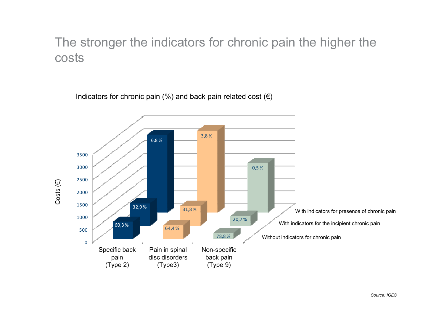## The stronger the indicators for chronic pain the higher the costs

 $\Gamma$  $V^*$  and  $V^*$  and  $V^*$  and  $V^*$  and  $V^*$  and  $V^*$  and  $V^*$ Indicators for chronic pain (%) and back pain related cost (€)

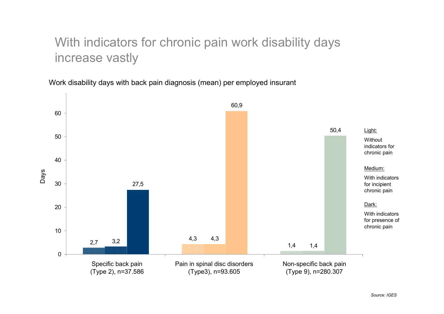## With indicators for chronic pain work disability days increase vastly

Work disability days with back pain diagnosis (mean) per employed insurant

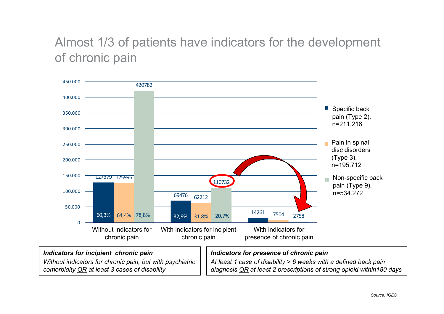## Almost 1/3 of patients have indicators for the development of chronic pain



#### Indicators for incipient chronic pain

 Without indicators for chronic pain, but with psychiatric comorbidity OR at least 3 cases of disability

#### Indicators for presence of chronic pain

 At least 1 case of disability > 6 weeks with a defined back paindiagnosis <u>OR</u> at least 2 prescriptions of strong opioid within180 days